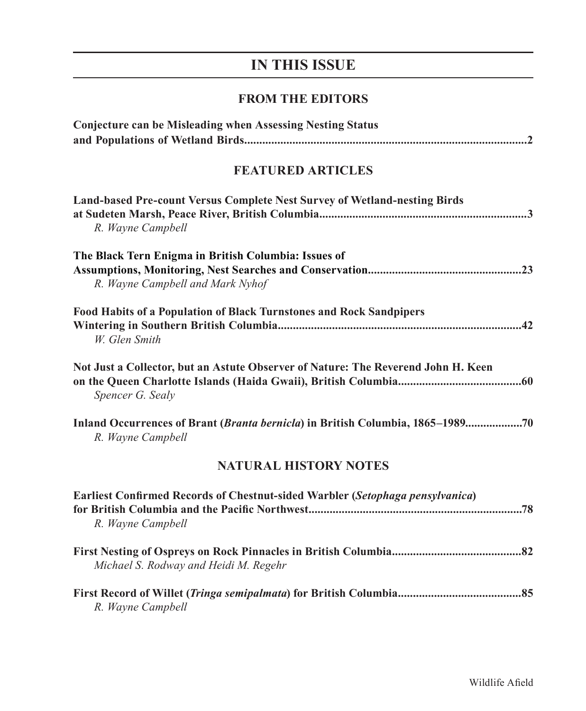## **IN THIS ISSUE**

## **FROM THE EDITORS**

| <b>Conjecture can be Misleading when Assessing Nesting Status</b>                                     |
|-------------------------------------------------------------------------------------------------------|
| <b>FEATURED ARTICLES</b>                                                                              |
| Land-based Pre-count Versus Complete Nest Survey of Wetland-nesting Birds<br>R. Wayne Campbell        |
| The Black Tern Enigma in British Columbia: Issues of<br>R. Wayne Campbell and Mark Nyhof              |
| Food Habits of a Population of Black Turnstones and Rock Sandpipers<br>W. Glen Smith                  |
| Not Just a Collector, but an Astute Observer of Nature: The Reverend John H. Keen<br>Spencer G. Sealy |
| Inland Occurrences of Brant (Branta bernicla) in British Columbia, 1865–198970<br>R. Wayne Campbell   |
| <b>NATURAL HISTORY NOTES</b>                                                                          |
| Earliest Confirmed Records of Chestnut-sided Warbler (Setophaga pensylvanica)<br>R. Wayne Campbell    |
| Michael S. Rodway and Heidi M. Regehr                                                                 |
| R. Wayne Campbell                                                                                     |